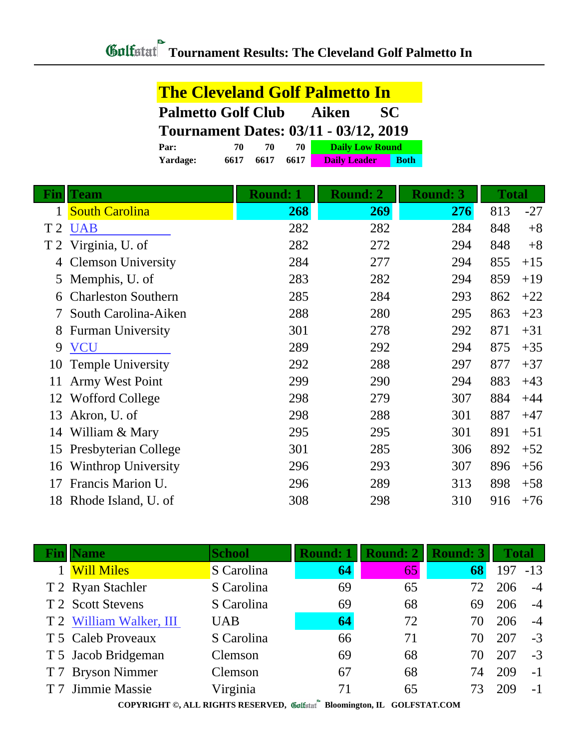|                                           |      |      |      | <b>The Cleveland Golf Palmetto In</b>        |             |
|-------------------------------------------|------|------|------|----------------------------------------------|-------------|
| <b>Palmetto Golf Club</b><br>Aiken<br>SC. |      |      |      |                                              |             |
|                                           |      |      |      | <b>Tournament Dates: 03/11 - 03/12, 2019</b> |             |
| Par:                                      | 70   | 70   | 70   | <b>Daily Low Round</b>                       |             |
| Yardage:                                  | 6617 | 6617 | 6617 | <b>Daily Leader</b>                          | <b>Both</b> |

|                | <b>Team</b>                | <b>Round: 1</b> | <b>Round: 3</b><br><b>Round: 2</b> |     | <b>Total</b> |       |
|----------------|----------------------------|-----------------|------------------------------------|-----|--------------|-------|
|                | <b>South Carolina</b>      | 268             | 269                                | 276 | 813          | $-27$ |
| T <sub>2</sub> | <b>UAB</b>                 | 282             | 282                                | 284 | 848          | $+8$  |
| T 2            | Virginia, U. of            | 282             | 272                                | 294 | 848          | $+8$  |
| 4              | <b>Clemson University</b>  | 284             | 277                                | 294 | 855          | $+15$ |
| 5              | Memphis, U. of             | 283             | 282                                | 294 | 859          | $+19$ |
| 6              | <b>Charleston Southern</b> | 285             | 284                                | 293 | 862          | $+22$ |
|                | South Carolina-Aiken       | 288             | 280                                | 295 | 863          | $+23$ |
| 8              | <b>Furman University</b>   | 301             | 278                                | 292 | 871          | $+31$ |
| 9              | <b>VCU</b>                 | 289             | 292                                | 294 | 875          | $+35$ |
| 10             | <b>Temple University</b>   | 292             | 288                                | 297 | 877          | $+37$ |
| 11             | Army West Point            | 299             | 290                                | 294 | 883          | $+43$ |
| 12             | Wofford College            | 298             | 279                                | 307 | 884          | $+44$ |
| 13             | Akron, U. of               | 298             | 288                                | 301 | 887          | $+47$ |
| 14             | William & Mary             | 295             | 295                                | 301 | 891          | $+51$ |
| 15             | Presbyterian College       | 301             | 285                                | 306 | 892          | $+52$ |
| 16             | <b>Winthrop University</b> | 296             | 293                                | 307 | 896          | $+56$ |
| 17             | Francis Marion U.          | 296             | 289                                | 313 | 898          | $+58$ |
| 18             | Rhode Island, U. of        | 308             | 298                                | 310 | 916          | $+76$ |

| <b>Name</b>                                                              | <b>School</b> | <b>Round: 1</b> | <b>Round: 2</b> | <b>Round: 3</b> | <b>Total</b> |       |
|--------------------------------------------------------------------------|---------------|-----------------|-----------------|-----------------|--------------|-------|
| <b>Will Miles</b>                                                        | S Carolina    | 64              | 65              | 68              | 197          | $-13$ |
| T 2 Ryan Stachler                                                        | S Carolina    | 69              | 65              |                 | 206          | $-4$  |
| T 2 Scott Stevens                                                        | S Carolina    | 69              | 68              | 69              | 206          | $-4$  |
| T 2 William Walker, III                                                  | <b>UAB</b>    | 64              | 72              |                 | 206          | $-4$  |
| T 5 Caleb Proveaux                                                       | S Carolina    | 66              | 71              | 70              | 207          | $-3$  |
| T 5 Jacob Bridgeman                                                      | Clemson       | 69              | 68              | 70              | 207          | $-3$  |
| T 7 Bryson Nimmer                                                        | Clemson       | 67              | 68              | 74              | 209          | $-1$  |
| T 7 Jimmie Massie                                                        | Virginia      | 71              | 65              |                 | 209          | $-1$  |
| COPYRIGHT ©, ALL RIGHTS RESERVED, Collected Bloomington, IL GOLFSTAT.COM |               |                 |                 |                 |              |       |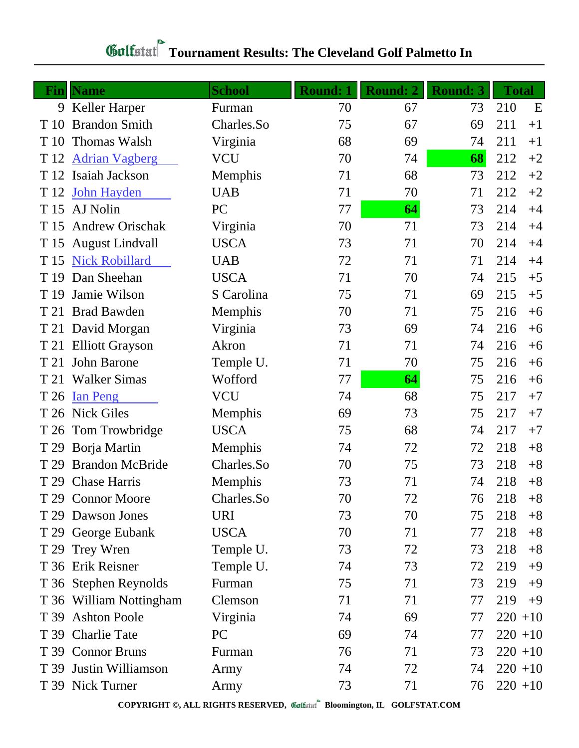## *Golfstaf* Tournament Results: The Cleveland Golf Palmetto In

|      | <b>Fin</b> Name         | <b>School</b> | <b>Round: 1</b> | <b>Round: 2</b> | <b>Round: 3</b> | <b>Total</b> |
|------|-------------------------|---------------|-----------------|-----------------|-----------------|--------------|
|      | 9 Keller Harper         | Furman        | 70              | 67              | 73              | 210<br>E     |
| T 10 | <b>Brandon Smith</b>    | Charles.So    | 75              | 67              | 69              | 211<br>$+1$  |
| T 10 | <b>Thomas Walsh</b>     | Virginia      | 68              | 69              | 74              | 211<br>$+1$  |
| T 12 | <b>Adrian Vagberg</b>   | <b>VCU</b>    | 70              | 74              | 68              | 212<br>$+2$  |
| T 12 | Isaiah Jackson          | Memphis       | 71              | 68              | 73              | 212<br>$+2$  |
| T 12 | <b>John Hayden</b>      | <b>UAB</b>    | 71              | 70              | 71              | 212<br>$+2$  |
| T 15 | AJ Nolin                | PC            | 77              | 64              | 73              | 214<br>$+4$  |
| T 15 | <b>Andrew Orischak</b>  | Virginia      | 70              | 71              | 73              | 214<br>$+4$  |
| T 15 | <b>August Lindvall</b>  | <b>USCA</b>   | 73              | 71              | 70              | 214<br>$+4$  |
| T 15 | <b>Nick Robillard</b>   | <b>UAB</b>    | 72              | 71              | 71              | 214<br>$+4$  |
| T 19 | Dan Sheehan             | <b>USCA</b>   | 71              | 70              | 74              | 215<br>$+5$  |
| T 19 | Jamie Wilson            | S Carolina    | 75              | 71              | 69              | 215<br>$+5$  |
| T 21 | <b>Brad Bawden</b>      | Memphis       | 70              | 71              | 75              | 216<br>$+6$  |
| T 21 | David Morgan            | Virginia      | 73              | 69              | 74              | 216<br>$+6$  |
|      | T 21 Elliott Grayson    | Akron         | 71              | 71              | 74              | 216<br>$+6$  |
| T 21 | John Barone             | Temple U.     | 71              | 70              | 75              | 216<br>$+6$  |
|      | T 21 Walker Simas       | Wofford       | 77              | 64              | 75              | 216<br>$+6$  |
| T 26 | <b>Ian Peng</b>         | <b>VCU</b>    | 74              | 68              | 75              | 217<br>$+7$  |
|      | T 26 Nick Giles         | Memphis       | 69              | 73              | 75              | 217<br>$+7$  |
| T 26 | Tom Trowbridge          | <b>USCA</b>   | 75              | 68              | 74              | 217<br>$+7$  |
| T 29 | Borja Martin            | Memphis       | 74              | 72              | 72              | 218<br>$+8$  |
| T 29 | <b>Brandon McBride</b>  | Charles.So    | 70              | 75              | 73              | 218<br>$+8$  |
|      | T 29 Chase Harris       | Memphis       | 73              | 71              | 74              | 218<br>$+8$  |
|      | T 29 Connor Moore       | Charles.So    | 70              | 72              | 76              | 218<br>$+8$  |
|      | T 29 Dawson Jones       | <b>URI</b>    | 73              | 70              | 75              | 218<br>$+8$  |
|      | T 29 George Eubank      | <b>USCA</b>   | 70              | 71              | 77              | 218<br>$+8$  |
|      | T 29 Trey Wren          | Temple U.     | 73              | 72              | 73              | 218<br>$+8$  |
|      | T 36 Erik Reisner       | Temple U.     | 74              | 73              | 72              | 219<br>$+9$  |
|      | T 36 Stephen Reynolds   | Furman        | 75              | 71              | 73              | 219<br>$+9$  |
|      | T 36 William Nottingham | Clemson       | 71              | 71              | 77              | 219<br>$+9$  |
|      | T 39 Ashton Poole       | Virginia      | 74              | 69              | 77              | $220 + 10$   |
|      | T 39 Charlie Tate       | PC            | 69              | 74              | 77              | $220 + 10$   |
|      | T 39 Connor Bruns       | Furman        | 76              | 71              | 73              | $220 + 10$   |
|      | T 39 Justin Williamson  | Army          | 74              | 72              | 74              | $220 + 10$   |
|      | T 39 Nick Turner        | Army          | 73              | 71              | 76              | $220 + 10$   |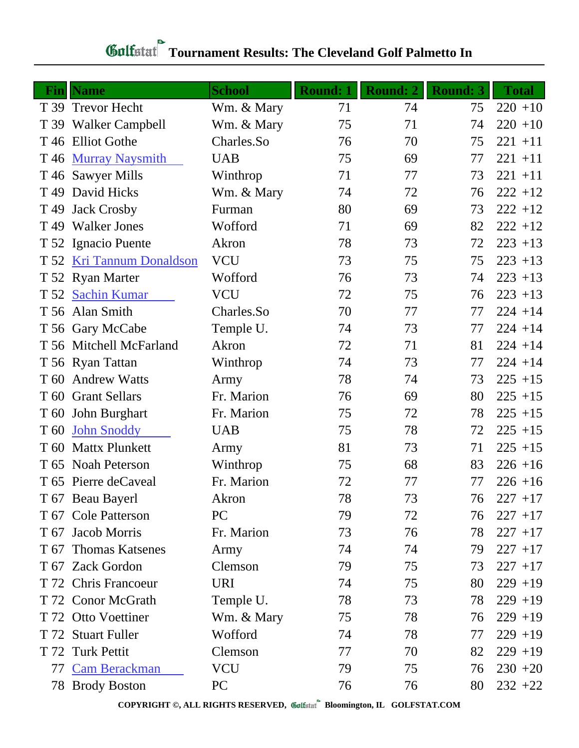## *Golfstaf* Tournament Results: The Cleveland Golf Palmetto In

|      | <b>Fin</b>   Name         | <b>School</b> | <b>Round: 1</b> | <b>Round: 2</b> | <b>Round: 3</b> | <b>Total</b> |
|------|---------------------------|---------------|-----------------|-----------------|-----------------|--------------|
|      | T 39 Trevor Hecht         | Wm. & Mary    | 71              | 74              | 75              | $220 + 10$   |
|      | T 39 Walker Campbell      | Wm. & Mary    | 75              | 71              | 74              | $220 + 10$   |
|      | T 46 Elliot Gothe         | Charles.So    | 76              | 70              | 75              | $221 + 11$   |
| T 46 | <b>Murray Naysmith</b>    | <b>UAB</b>    | 75              | 69              | 77              | $221 + 11$   |
|      | T 46 Sawyer Mills         | Winthrop      | 71              | 77              | 73              | $221 + 11$   |
| T 49 | David Hicks               | Wm. & Mary    | 74              | 72              | 76              | $222 + 12$   |
| T 49 | <b>Jack Crosby</b>        | Furman        | 80              | 69              | 73              | $222 + 12$   |
| T 49 | <b>Walker Jones</b>       | Wofford       | 71              | 69              | 82              | $222 + 12$   |
|      | T 52 Ignacio Puente       | Akron         | 78              | 73              | 72              | $223 + 13$   |
|      | T 52 Kri Tannum Donaldson | <b>VCU</b>    | 73              | 75              | 75              | $223 + 13$   |
|      | T 52 Ryan Marter          | Wofford       | 76              | 73              | 74              | $223 + 13$   |
|      | T 52 Sachin Kumar         | <b>VCU</b>    | 72              | 75              | 76              | $223 + 13$   |
|      | T 56 Alan Smith           | Charles.So    | 70              | 77              | 77              | $224 + 14$   |
|      | T 56 Gary McCabe          | Temple U.     | 74              | 73              | 77              | $224 + 14$   |
|      | T 56 Mitchell McFarland   | Akron         | 72              | 71              | 81              | $224 + 14$   |
|      | T 56 Ryan Tattan          | Winthrop      | 74              | 73              | 77              | $224 + 14$   |
| T 60 | <b>Andrew Watts</b>       | Army          | 78              | 74              | 73              | $225 + 15$   |
|      | T 60 Grant Sellars        | Fr. Marion    | 76              | 69              | 80              | $225 + 15$   |
|      | T 60 John Burghart        | Fr. Marion    | 75              | 72              | 78              | $225 + 15$   |
| T 60 | <b>John Snoddy</b>        | <b>UAB</b>    | 75              | 78              | 72              | $225 + 15$   |
| T 60 | <b>Mattx Plunkett</b>     | Army          | 81              | 73              | 71              | $225 + 15$   |
|      | T 65 Noah Peterson        | Winthrop      | 75              | 68              | 83              | $226 + 16$   |
|      | T 65 Pierre deCaveal      | Fr. Marion    | 72              | 77              | 77              | $226 + 16$   |
|      | T 67 Beau Bayerl          | Akron         | 78              | 73              | 76              | $227 + 17$   |
|      | T 67 Cole Patterson       | PC            | 79              | 72              | 76              | $227 + 17$   |
|      | T 67 Jacob Morris         | Fr. Marion    | 73              | 76              | 78              | $227 + 17$   |
|      | T 67 Thomas Katsenes      | Army          | 74              | 74              | 79              | $227 + 17$   |
|      | T 67 Zack Gordon          | Clemson       | 79              | 75              | 73              | $227 + 17$   |
|      | T 72 Chris Francoeur      | <b>URI</b>    | 74              | 75              | 80              | $229 + 19$   |
|      | T 72 Conor McGrath        | Temple U.     | 78              | 73              | 78              | $229 + 19$   |
|      | T 72 Otto Voettiner       | Wm. & Mary    | 75              | 78              | 76              | $229 + 19$   |
|      | T 72 Stuart Fuller        | Wofford       | 74              | 78              | 77              | $229 + 19$   |
|      | T 72 Turk Pettit          | Clemson       | 77              | 70              | 82              | $229 + 19$   |
|      | 77 Cam Berackman          | <b>VCU</b>    | 79              | 75              | 76              | $230 + 20$   |
|      | 78 Brody Boston           | PC            | 76              | 76              | 80              | $232 + 22$   |